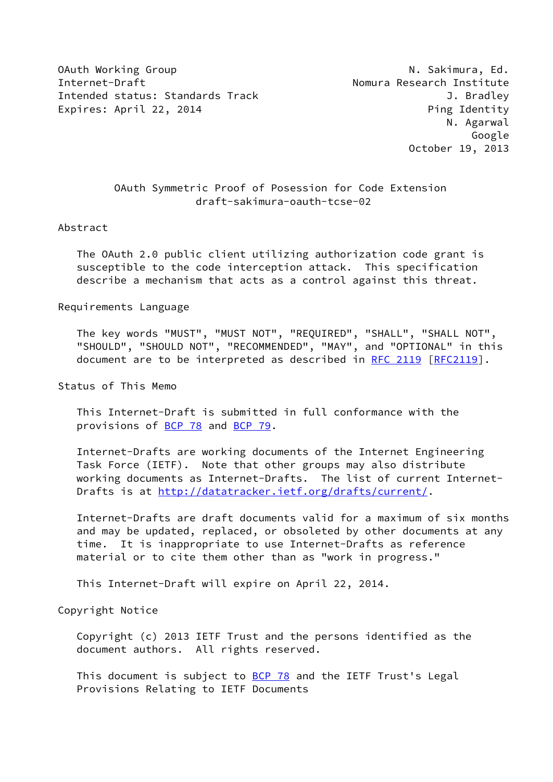OAuth Working Group N. Sakimura, Ed. Internet-Draft Nomura Research Institute Intended status: Standards Track J. Bradley Expires: April 22, 2014 **Ping Identity** 

# OAuth Symmetric Proof of Posession for Code Extension draft-sakimura-oauth-tcse-02

#### Abstract

 The OAuth 2.0 public client utilizing authorization code grant is susceptible to the code interception attack. This specification describe a mechanism that acts as a control against this threat.

#### Requirements Language

 The key words "MUST", "MUST NOT", "REQUIRED", "SHALL", "SHALL NOT", "SHOULD", "SHOULD NOT", "RECOMMENDED", "MAY", and "OPTIONAL" in this document are to be interpreted as described in [RFC 2119 \[RFC2119](https://datatracker.ietf.org/doc/pdf/rfc2119)].

Status of This Memo

 This Internet-Draft is submitted in full conformance with the provisions of [BCP 78](https://datatracker.ietf.org/doc/pdf/bcp78) and [BCP 79](https://datatracker.ietf.org/doc/pdf/bcp79).

 Internet-Drafts are working documents of the Internet Engineering Task Force (IETF). Note that other groups may also distribute working documents as Internet-Drafts. The list of current Internet- Drafts is at<http://datatracker.ietf.org/drafts/current/>.

 Internet-Drafts are draft documents valid for a maximum of six months and may be updated, replaced, or obsoleted by other documents at any time. It is inappropriate to use Internet-Drafts as reference material or to cite them other than as "work in progress."

This Internet-Draft will expire on April 22, 2014.

Copyright Notice

 Copyright (c) 2013 IETF Trust and the persons identified as the document authors. All rights reserved.

This document is subject to [BCP 78](https://datatracker.ietf.org/doc/pdf/bcp78) and the IETF Trust's Legal Provisions Relating to IETF Documents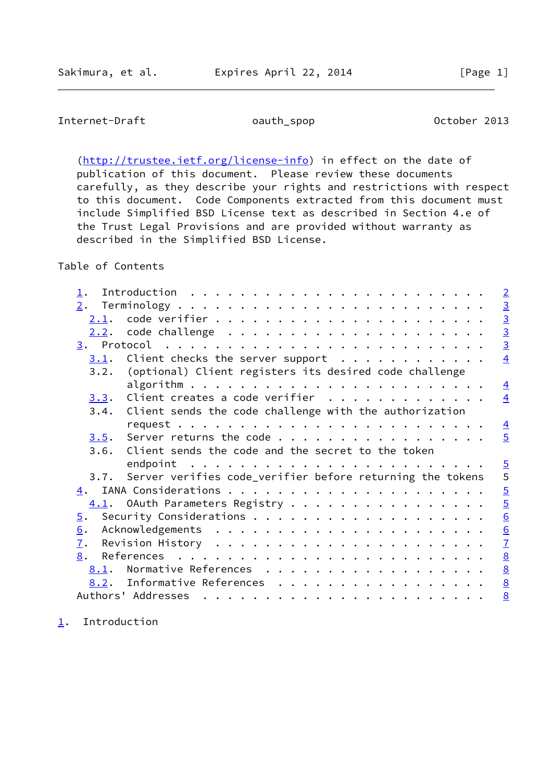# <span id="page-1-1"></span>Internet-Draft oauth\_spop 0ctober 2013

[\(http://trustee.ietf.org/license-info](http://trustee.ietf.org/license-info)) in effect on the date of publication of this document. Please review these documents carefully, as they describe your rights and restrictions with respect to this document. Code Components extracted from this document must include Simplified BSD License text as described in Section 4.e of the Trust Legal Provisions and are provided without warranty as described in the Simplified BSD License.

# Table of Contents

| $\perp$ .         | $\sqrt{2}$                                                         |                 |
|-------------------|--------------------------------------------------------------------|-----------------|
| 2.                |                                                                    |                 |
| 2.1.              | $\frac{3}{3}$                                                      |                 |
| 2.2.              |                                                                    |                 |
|                   |                                                                    | $\overline{3}$  |
| 3.1.              | Client checks the server support $\cdots$                          | $\overline{4}$  |
|                   | 3.2. (optional) Client registers its desired code challenge        |                 |
|                   |                                                                    | $\overline{4}$  |
| 3.3.              | Client creates a code verifier                                     | $\overline{4}$  |
|                   | 3.4. Client sends the code challenge with the authorization        |                 |
|                   |                                                                    | $\overline{4}$  |
|                   | $3.5$ . Server returns the code                                    | $\overline{5}$  |
|                   | 3.6. Client sends the code and the secret to the token             |                 |
|                   | endpoint $\ldots \ldots \ldots \ldots \ldots \ldots \ldots \ldots$ |                 |
|                   | 3.7. Server verifies code_verifier before returning the tokens     | $rac{5}{5}$     |
| 4.                |                                                                    | $\overline{5}$  |
|                   | $\underline{4.1}$ . OAuth Parameters Registry                      | $\overline{5}$  |
| $\overline{5}$ .  |                                                                    | 6               |
| 6.                |                                                                    | 6               |
| $\underline{7}$ . |                                                                    | $\overline{1}$  |
| 8.                |                                                                    | $\underline{8}$ |
|                   | 8.1. Normative References                                          | $\underline{8}$ |
|                   | 8.2. Informative References                                        | $\underline{8}$ |
|                   |                                                                    | 8               |
|                   |                                                                    |                 |

<span id="page-1-0"></span>[1](#page-1-0). Introduction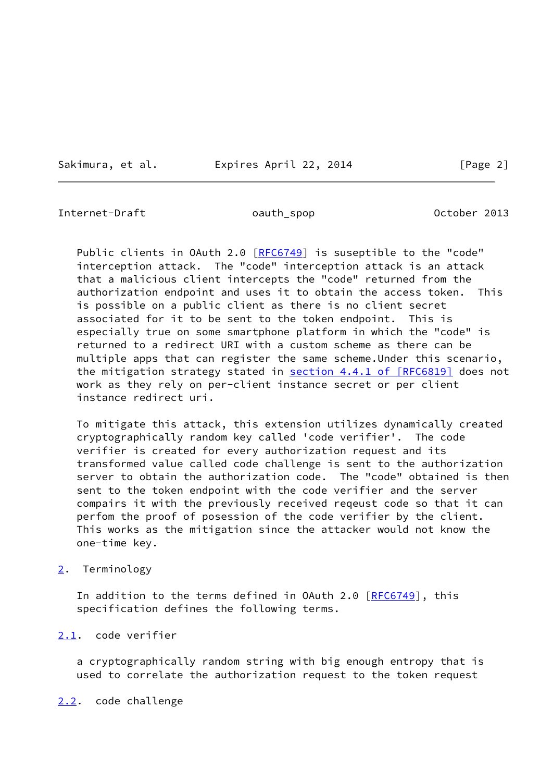Sakimura, et al. 
Expires April 22, 2014
[Page 2]

<span id="page-2-1"></span>Internet-Draft oauth\_spop 0ctober 2013

Public clients in OAuth 2.0 [\[RFC6749](https://datatracker.ietf.org/doc/pdf/rfc6749)] is suseptible to the "code" interception attack. The "code" interception attack is an attack that a malicious client intercepts the "code" returned from the authorization endpoint and uses it to obtain the access token. This is possible on a public client as there is no client secret associated for it to be sent to the token endpoint. This is especially true on some smartphone platform in which the "code" is returned to a redirect URI with a custom scheme as there can be multiple apps that can register the same scheme.Under this scenario, the mitigation strategy stated in section [4.4.1 of \[RFC6819\]](https://datatracker.ietf.org/doc/pdf/rfc6819#section-4.4.1) does not work as they rely on per-client instance secret or per client instance redirect uri.

 To mitigate this attack, this extension utilizes dynamically created cryptographically random key called 'code verifier'. The code verifier is created for every authorization request and its transformed value called code challenge is sent to the authorization server to obtain the authorization code. The "code" obtained is then sent to the token endpoint with the code verifier and the server compairs it with the previously received reqeust code so that it can perfom the proof of posession of the code verifier by the client. This works as the mitigation since the attacker would not know the one-time key.

### <span id="page-2-0"></span>[2](#page-2-0). Terminology

In addition to the terms defined in OAuth 2.0 [[RFC6749](https://datatracker.ietf.org/doc/pdf/rfc6749)], this specification defines the following terms.

### <span id="page-2-2"></span>[2.1](#page-2-2). code verifier

 a cryptographically random string with big enough entropy that is used to correlate the authorization request to the token request

<span id="page-2-3"></span>[2.2](#page-2-3). code challenge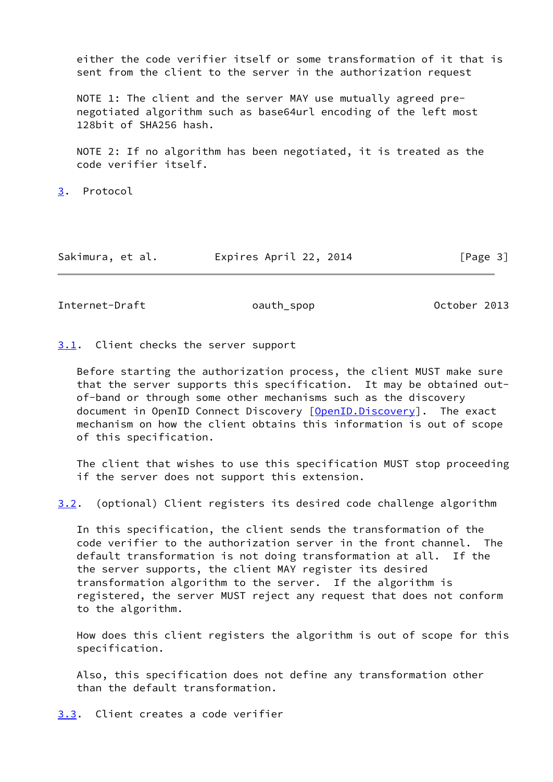either the code verifier itself or some transformation of it that is sent from the client to the server in the authorization request

 NOTE 1: The client and the server MAY use mutually agreed pre negotiated algorithm such as base64url encoding of the left most 128bit of SHA256 hash.

 NOTE 2: If no algorithm has been negotiated, it is treated as the code verifier itself.

<span id="page-3-0"></span>[3](#page-3-0). Protocol

Sakimura, et al. Expires April 22, 2014 [Page 3]

<span id="page-3-2"></span>Internet-Draft oauth\_spop October 2013

<span id="page-3-1"></span>[3.1](#page-3-1). Client checks the server support

 Before starting the authorization process, the client MUST make sure that the server supports this specification. It may be obtained out of-band or through some other mechanisms such as the discovery document in OpenID Connect Discovery [\[OpenID.Discovery](#page-8-2)]. The exact mechanism on how the client obtains this information is out of scope of this specification.

 The client that wishes to use this specification MUST stop proceeding if the server does not support this extension.

<span id="page-3-4"></span>[3.2](#page-3-4). (optional) Client registers its desired code challenge algorithm

 In this specification, the client sends the transformation of the code verifier to the authorization server in the front channel. The default transformation is not doing transformation at all. If the the server supports, the client MAY register its desired transformation algorithm to the server. If the algorithm is registered, the server MUST reject any request that does not conform to the algorithm.

 How does this client registers the algorithm is out of scope for this specification.

 Also, this specification does not define any transformation other than the default transformation.

<span id="page-3-3"></span>[3.3](#page-3-3). Client creates a code verifier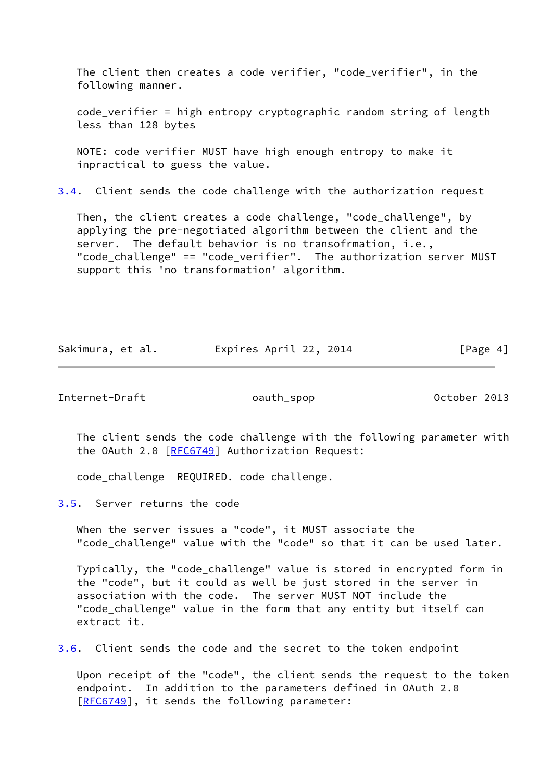The client then creates a code verifier, "code\_verifier", in the following manner.

 code\_verifier = high entropy cryptographic random string of length less than 128 bytes

 NOTE: code verifier MUST have high enough entropy to make it inpractical to guess the value.

<span id="page-4-2"></span>[3.4](#page-4-2). Client sends the code challenge with the authorization request

 Then, the client creates a code challenge, "code\_challenge", by applying the pre-negotiated algorithm between the client and the server. The default behavior is no transofrmation, i.e., "code challenge" == "code verifier". The authorization server MUST support this 'no transformation' algorithm.

Sakimura, et al. Expires April 22, 2014 [Page 4]

<span id="page-4-1"></span>Internet-Draft oauth\_spop October 2013

 The client sends the code challenge with the following parameter with the OAuth 2.0 [[RFC6749](https://datatracker.ietf.org/doc/pdf/rfc6749)] Authorization Request:

code\_challenge REQUIRED. code challenge.

<span id="page-4-0"></span>[3.5](#page-4-0). Server returns the code

 When the server issues a "code", it MUST associate the "code\_challenge" value with the "code" so that it can be used later.

 Typically, the "code\_challenge" value is stored in encrypted form in the "code", but it could as well be just stored in the server in association with the code. The server MUST NOT include the "code\_challenge" value in the form that any entity but itself can extract it.

<span id="page-4-3"></span>[3.6](#page-4-3). Client sends the code and the secret to the token endpoint

 Upon receipt of the "code", the client sends the request to the token endpoint. In addition to the parameters defined in OAuth 2.0 [\[RFC6749](https://datatracker.ietf.org/doc/pdf/rfc6749)], it sends the following parameter: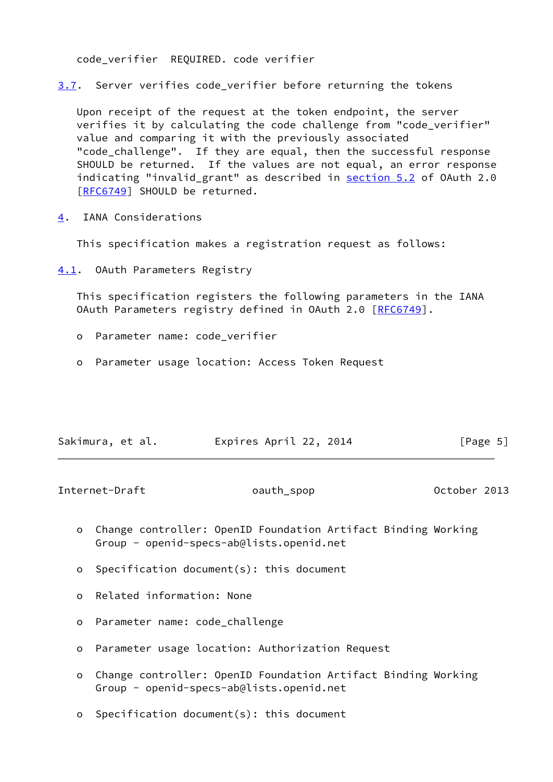code\_verifier REQUIRED. code verifier

<span id="page-5-3"></span>[3.7](#page-5-3). Server verifies code verifier before returning the tokens

 Upon receipt of the request at the token endpoint, the server verifies it by calculating the code challenge from "code\_verifier" value and comparing it with the previously associated "code\_challenge". If they are equal, then the successful response SHOULD be returned. If the values are not equal, an error response indicating "invalid\_grant" as described in section 5.2 of OAuth 2.0 [\[RFC6749](https://datatracker.ietf.org/doc/pdf/rfc6749)] SHOULD be returned.

<span id="page-5-0"></span>[4](#page-5-0). IANA Considerations

This specification makes a registration request as follows:

<span id="page-5-1"></span>[4.1](#page-5-1). OAuth Parameters Registry

 This specification registers the following parameters in the IANA OAuth Parameters registry defined in OAuth 2.0 [\[RFC6749](https://datatracker.ietf.org/doc/pdf/rfc6749)].

- o Parameter name: code\_verifier
- o Parameter usage location: Access Token Request

| Sakimura, et al. | Expires April 22, 2014 | [Page 5] |
|------------------|------------------------|----------|
|                  |                        |          |

<span id="page-5-2"></span>Internet-Draft oauth\_spop 0ctober 2013

- o Change controller: OpenID Foundation Artifact Binding Working Group - openid-specs-ab@lists.openid.net
- o Specification document(s): this document
- o Related information: None
- o Parameter name: code\_challenge
- o Parameter usage location: Authorization Request
- o Change controller: OpenID Foundation Artifact Binding Working Group - openid-specs-ab@lists.openid.net
- o Specification document(s): this document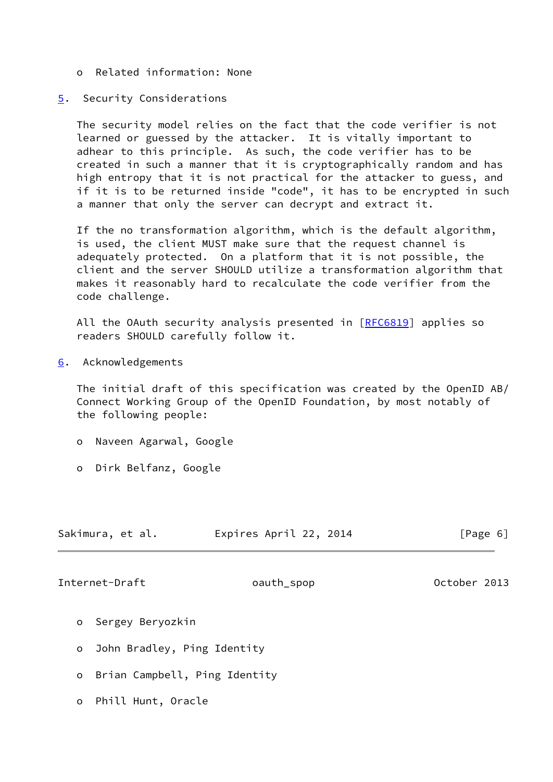o Related information: None

### <span id="page-6-0"></span>[5](#page-6-0). Security Considerations

 The security model relies on the fact that the code verifier is not learned or guessed by the attacker. It is vitally important to adhear to this principle. As such, the code verifier has to be created in such a manner that it is cryptographically random and has high entropy that it is not practical for the attacker to guess, and if it is to be returned inside "code", it has to be encrypted in such a manner that only the server can decrypt and extract it.

 If the no transformation algorithm, which is the default algorithm, is used, the client MUST make sure that the request channel is adequately protected. On a platform that it is not possible, the client and the server SHOULD utilize a transformation algorithm that makes it reasonably hard to recalculate the code verifier from the code challenge.

All the OAuth security analysis presented in [\[RFC6819](https://datatracker.ietf.org/doc/pdf/rfc6819)] applies so readers SHOULD carefully follow it.

<span id="page-6-1"></span>[6](#page-6-1). Acknowledgements

 The initial draft of this specification was created by the OpenID AB/ Connect Working Group of the OpenID Foundation, by most notably of the following people:

- o Naveen Agarwal, Google
- o Dirk Belfanz, Google

| Sakimura, et al. | Expires April 22, 2014 | [Page 6] |
|------------------|------------------------|----------|
|                  |                        |          |
|                  |                        |          |

<span id="page-6-2"></span>Internet-Draft oauth\_spop 0ctober 2013

- o Sergey Beryozkin
- o John Bradley, Ping Identity
- o Brian Campbell, Ping Identity
- o Phill Hunt, Oracle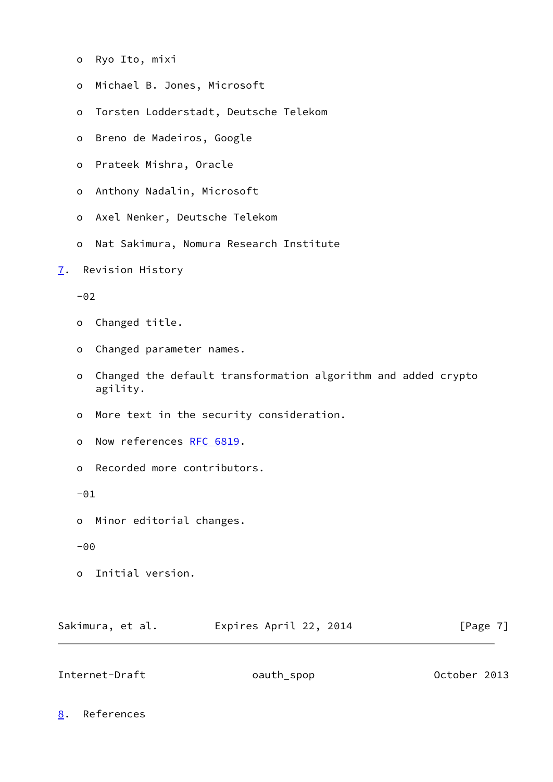- o Ryo Ito, mixi
- o Michael B. Jones, Microsoft
- o Torsten Lodderstadt, Deutsche Telekom
- o Breno de Madeiros, Google
- o Prateek Mishra, Oracle
- o Anthony Nadalin, Microsoft
- o Axel Nenker, Deutsche Telekom
- o Nat Sakimura, Nomura Research Institute
- <span id="page-7-0"></span>[7](#page-7-0). Revision History

 $-02$ 

- o Changed title.
- o Changed parameter names.
- o Changed the default transformation algorithm and added crypto agility.
- o More text in the security consideration.
- o Now references [RFC 6819](https://datatracker.ietf.org/doc/pdf/rfc6819).
- o Recorded more contributors.

 $-01$ 

- o Minor editorial changes.
- -00
- o Initial version.

Sakimura, et al. **Expires April 22, 2014** [Page 7]

<span id="page-7-2"></span>Internet-Draft oauth\_spop 0ctober 2013

<span id="page-7-1"></span>[8](#page-7-1). References